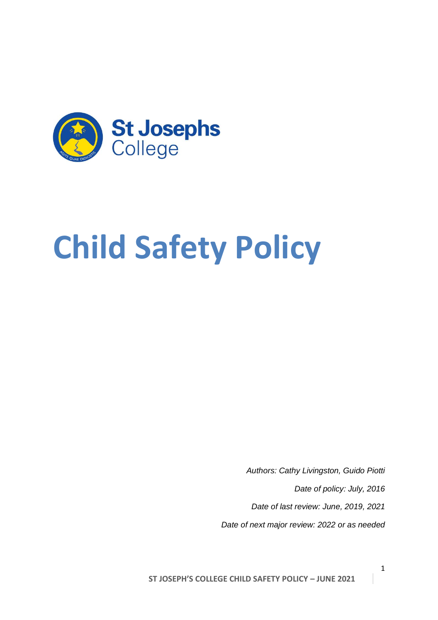

# **Child Safety Policy**

*Authors: Cathy Livingston, Guido Piotti Date of policy: July, 2016 Date of last review: June, 2019, 2021 Date of next major review: 2022 or as needed*

**ST JOSEPH'S COLLEGE CHILD SAFETY POLICY – JUNE 2021**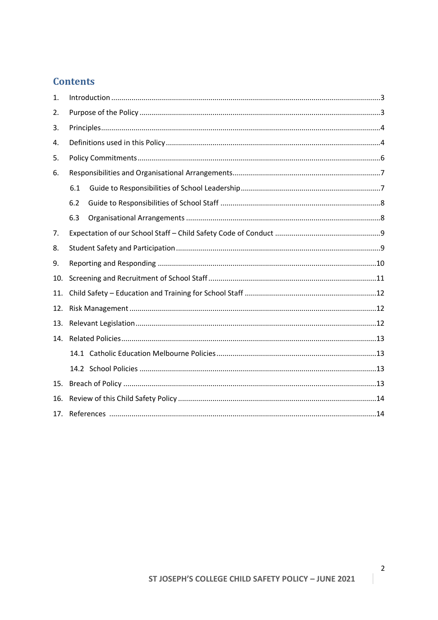# **Contents**

| 1.  |     |  |  |
|-----|-----|--|--|
| 2.  |     |  |  |
| 3.  |     |  |  |
| 4.  |     |  |  |
| 5.  |     |  |  |
| 6.  |     |  |  |
|     | 6.1 |  |  |
|     | 6.2 |  |  |
|     | 6.3 |  |  |
| 7.  |     |  |  |
| 8.  |     |  |  |
| 9.  |     |  |  |
| 10. |     |  |  |
| 11. |     |  |  |
| 12. |     |  |  |
| 13. |     |  |  |
| 14. |     |  |  |
|     |     |  |  |
|     |     |  |  |
| 15. |     |  |  |
| 16. |     |  |  |
| 17. |     |  |  |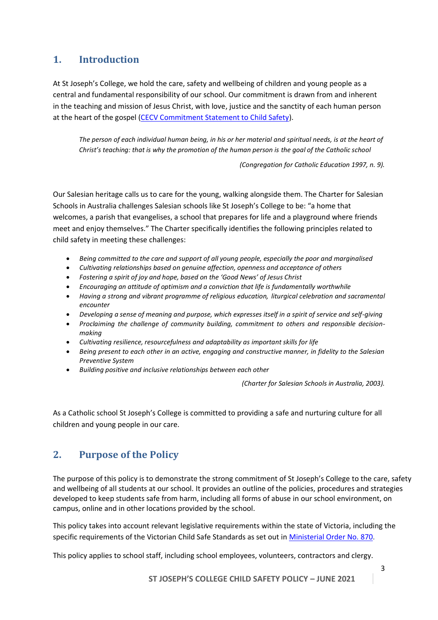## <span id="page-2-0"></span>**1. Introduction**

At St Joseph's College, we hold the care, safety and wellbeing of children and young people as a central and fundamental responsibility of our school. Our commitment is drawn from and inherent in the teaching and mission of Jesus Christ, with love, justice and the sanctity of each human person at the heart of the gospel [\(CECV Commitment Statement to Child Safety\)](http://cevn.cecv.catholic.edu.au/WorkArea/DownloadAsset.aspx?id=8589940582).

*The person of each individual human being, in his or her material and spiritual needs, is at the heart of Christ's teaching: that is why the promotion of the human person is the goal of the Catholic school*

*(Congregation for Catholic Education 1997, n. 9).*

Our Salesian heritage calls us to care for the young, walking alongside them. The Charter for Salesian Schools in Australia challenges Salesian schools like St Joseph's College to be: "a home that welcomes, a parish that evangelises, a school that prepares for life and a playground where friends meet and enjoy themselves." The Charter specifically identifies the following principles related to child safety in meeting these challenges:

- *Being committed to the care and support of all young people, especially the poor and marginalised*
- *Cultivating relationships based on genuine affection, openness and acceptance of others*
- *Fostering a spirit of joy and hope, based on the 'Good News' of Jesus Christ*
- *Encouraging an attitude of optimism and a conviction that life is fundamentally worthwhile*
- *Having a strong and vibrant programme of religious education, liturgical celebration and sacramental encounter*
- *Developing a sense of meaning and purpose, which expresses itself in a spirit of service and self-giving*
- *Proclaiming the challenge of community building, commitment to others and responsible decisionmaking*
- *Cultivating resilience, resourcefulness and adaptability as important skills for life*
- *Being present to each other in an active, engaging and constructive manner, in fidelity to the Salesian Preventive System*
- <span id="page-2-1"></span>• *Building positive and inclusive relationships between each other*

*(Charter for Salesian Schools in Australia, 2003).*

As a Catholic school St Joseph's College is committed to providing a safe and nurturing culture for all children and young people in our care.

# **2. Purpose of the Policy**

The purpose of this policy is to demonstrate the strong commitment of St Joseph's College to the care, safety and wellbeing of all students at our school. It provides an outline of the policies, procedures and strategies developed to keep students safe from harm, including all forms of abuse in our school environment, on campus, online and in other locations provided by the school.

This policy takes into account relevant legislative requirements within the state of Victoria, including the specific requirements of the Victorian Child Safe Standards as set out in [Ministerial Order No. 870.](http://www.gazette.vic.gov.au/gazette/Gazettes2016/GG2016S002.pdf)

This policy applies to school staff, including school employees, volunteers, contractors and clergy.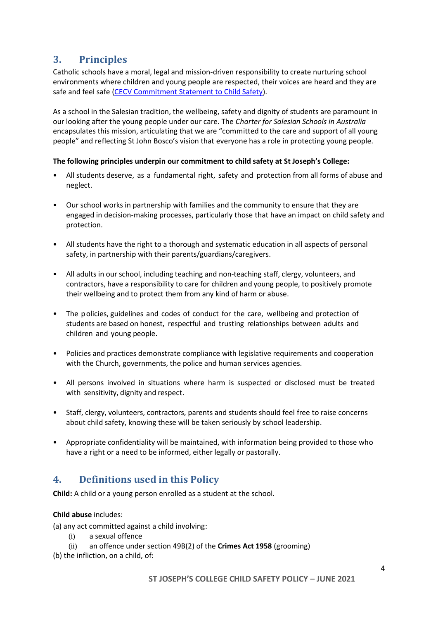## <span id="page-3-0"></span>**3. Principles**

Catholic schools have a moral, legal and mission-driven responsibility to create nurturing school environments where children and young people are respected, their voices are heard and they are safe and feel safe [\(CECV Commitment Statement to Child Safety\)](http://cevn.cecv.catholic.edu.au/WorkArea/DownloadAsset.aspx?id=8589940582).

As a school in the Salesian tradition, the wellbeing, safety and dignity of students are paramount in our looking after the young people under our care. The *Charter for Salesian Schools in Australia* encapsulates this mission, articulating that we are "committed to the care and support of all young people" and reflecting St John Bosco's vision that everyone has a role in protecting young people.

#### **The following principles underpin our commitment to child safety at St Joseph's College:**

- All students deserve, as a fundamental right, safety and protection from all forms of abuse and neglect.
- Our school works in partnership with families and the community to ensure that they are engaged in decision-making processes, particularly those that have an impact on child safety and protection.
- All students have the right to a thorough and systematic education in all aspects of personal safety, in partnership with their parents/guardians/caregivers.
- All adults in our school, including teaching and non-teaching staff, clergy, volunteers, and contractors, have a responsibility to care for children and young people, to positively promote their wellbeing and to protect them from any kind of harm or abuse.
- The policies, guidelines and codes of conduct for the care, wellbeing and protection of students are based on honest, respectful and trusting relationships between adults and children and young people.
- Policies and practices demonstrate compliance with legislative requirements and cooperation with the Church, governments, the police and human services agencies.
- All persons involved in situations where harm is suspected or disclosed must be treated with sensitivity, dignity and respect.
- Staff, clergy, volunteers, contractors, parents and students should feel free to raise concerns about child safety, knowing these will be taken seriously by school leadership.
- Appropriate confidentiality will be maintained, with information being provided to those who have a right or a need to be informed, either legally or pastorally.

#### <span id="page-3-1"></span>**4. Definitions used in this Policy**

**Child:** A child or a young person enrolled as a student at the school.

#### **Child abuse** includes:

- (a) any act committed against a child involving:
	- (i) a sexual offence
	- (ii) an offence under section 49B(2) of the **Crimes Act 1958** (grooming)

(b) the infliction, on a child, of: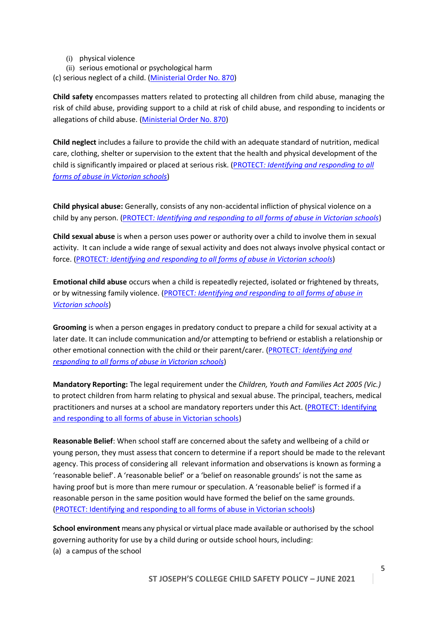- (i) physical violence
- (ii) serious emotional or psychological harm
- (c) serious neglect of a child. [\(Ministerial Order No. 870\)](http://www.gazette.vic.gov.au/gazette/Gazettes2016/GG2016S002.pdf)

**Child safety** encompasses matters related to protecting all children from child abuse, managing the risk of child abuse, providing support to a child at risk of child abuse, and responding to incidents or allegations of child abuse. [\(Ministerial Order No. 870\)](http://www.gazette.vic.gov.au/gazette/Gazettes2016/GG2016S002.pdf)

**Child neglect** includes a failure to provide the child with an adequate standard of nutrition, medical care, clothing, shelter or supervision to the extent that the health and physical development of the child is significantly impaired or placed at serious risk. (PROTECT*[: Identifying and responding to all](http://www.cecv.catholic.edu.au/getmedia/ebe135a4-d1b3-48a0-81fe-50d4fc451bcd/Identifying-and-Responding-to-All-Forms-of-Abuse.aspx#page=18)  [forms of abuse in Victorian schools](http://www.cecv.catholic.edu.au/getmedia/ebe135a4-d1b3-48a0-81fe-50d4fc451bcd/Identifying-and-Responding-to-All-Forms-of-Abuse.aspx#page=18)*)

**Child physical abuse:** Generally, consists of any non-accidental infliction of physical violence on a child by any person. (PROTECT*[: Identifying and responding to all forms of abuse in Victorian schools](http://www.cecv.catholic.edu.au/getmedia/ebe135a4-d1b3-48a0-81fe-50d4fc451bcd/Identifying-and-Responding-to-All-Forms-of-Abuse.aspx#page=10)*)

**Child sexual abuse** is when a person uses power or authority over a child to involve them in sexual activity. It can include a wide range of sexual activity and does not always involve physical contact or force. (PROTECT*[: Identifying and responding to all forms of abuse in Victorian schools](http://www.cecv.catholic.edu.au/getmedia/ebe135a4-d1b3-48a0-81fe-50d4fc451bcd/Identifying-and-Responding-to-All-Forms-of-Abuse.aspx#page=12)*)

**Emotional child abuse** occurs when a child is repeatedly rejected, isolated or frightened by threats, or by witnessing family violence. (PROTECT*[: Identifying and responding to all forms of abuse in](http://www.cecv.catholic.edu.au/getmedia/ebe135a4-d1b3-48a0-81fe-50d4fc451bcd/Identifying-and-Responding-to-All-Forms-of-Abuse.aspx#page=17)  [Victorian schools](http://www.cecv.catholic.edu.au/getmedia/ebe135a4-d1b3-48a0-81fe-50d4fc451bcd/Identifying-and-Responding-to-All-Forms-of-Abuse.aspx#page=17)*)

**Grooming** is when a person engages in predatory conduct to prepare a child for sexual activity at a later date. It can include communication and/or attempting to befriend or establish a relationship or other emotional connection with the child or their parent/carer. (PROTECT*[: Identifying and](http://www.cecv.catholic.edu.au/getmedia/ebe135a4-d1b3-48a0-81fe-50d4fc451bcd/Identifying-and-Responding-to-All-Forms-of-Abuse.aspx#page=15)  [responding to all forms of abuse in Victorian schools](http://www.cecv.catholic.edu.au/getmedia/ebe135a4-d1b3-48a0-81fe-50d4fc451bcd/Identifying-and-Responding-to-All-Forms-of-Abuse.aspx#page=15)*)

**Mandatory Reporting:** The legal requirement under the *Children, Youth and Families Act 2005 (Vic.)*  to protect children from harm relating to physical and sexual abuse. The principal, teachers, medical practitioners and nurses at a school are mandatory reporters under this Act. [\(PROTECT: Identifying](http://www.cecv.catholic.edu.au/getmedia/ebe135a4-d1b3-48a0-81fe-50d4fc451bcd/Identifying-and-Responding-to-All-Forms-of-Abuse.aspx#page=7)  [and responding to all forms of abuse in Victorian schools\)](http://www.cecv.catholic.edu.au/getmedia/ebe135a4-d1b3-48a0-81fe-50d4fc451bcd/Identifying-and-Responding-to-All-Forms-of-Abuse.aspx#page=7)

**Reasonable Belief**: When school staff are concerned about the safety and wellbeing of a child or young person, they must assess that concern to determine if a report should be made to the relevant agency. This process of considering all relevant information and observations is known as forming a 'reasonable belief'. A 'reasonable belief' or a 'belief on reasonable grounds' is not the same as having proof but is more than mere rumour or speculation. A 'reasonable belief' is formed if a reasonable person in the same position would have formed the belief on the same grounds. [\(PROTECT: Identifying and responding to all forms of abuse in Victorian schools\)](http://www.cecv.catholic.edu.au/getmedia/ebe135a4-d1b3-48a0-81fe-50d4fc451bcd/Identifying-and-Responding-to-All-Forms-of-Abuse.aspx#page=25)

**School environment** means any physical or virtual place made available or authorised by the school governing authority for use by a child during or outside school hours, including: (a) a campus of the school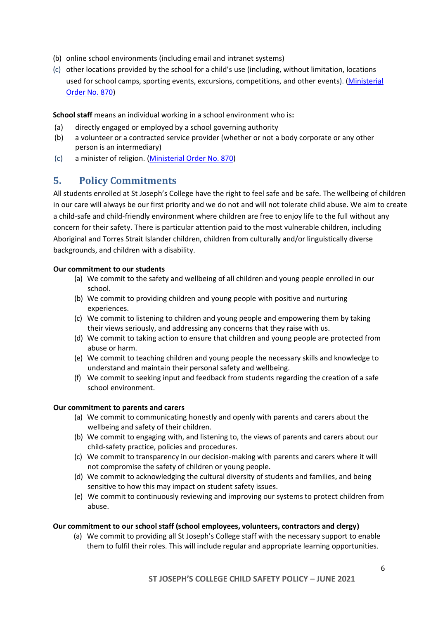- (b) online school environments (including email and intranet systems)
- (c) other locations provided by the school for a child's use (including, without limitation, locations used for school camps, sporting events, excursions, competitions, and other events). [\(Ministerial](http://www.gazette.vic.gov.au/gazette/Gazettes2016/GG2016S002.pdf)  [Order No. 870\)](http://www.gazette.vic.gov.au/gazette/Gazettes2016/GG2016S002.pdf)

**School staff** means an individual working in a school environment who is**:**

- (a) directly engaged or employed by a school governing authority
- (b) a volunteer or a contracted service provider (whether or not a body corporate or any other person is an intermediary)
- (c) a minister of religion. [\(Ministerial Order No. 870\)](http://www.gazette.vic.gov.au/gazette/Gazettes2016/GG2016S002.pdf)

#### <span id="page-5-0"></span>**5. Policy Commitments**

All students enrolled at St Joseph's College have the right to feel safe and be safe. The wellbeing of children in our care will always be our first priority and we do not and will not tolerate child abuse. We aim to create a child-safe and child-friendly environment where children are free to enjoy life to the full without any concern for their safety. There is particular attention paid to the most vulnerable children, including Aboriginal and Torres Strait Islander children, children from culturally and/or linguistically diverse backgrounds, and children with a disability.

#### **Our commitment to our students**

- (a) We commit to the safety and wellbeing of all children and young people enrolled in our school.
- (b) We commit to providing children and young people with positive and nurturing experiences.
- (c) We commit to listening to children and young people and empowering them by taking their views seriously, and addressing any concerns that they raise with us.
- (d) We commit to taking action to ensure that children and young people are protected from abuse or harm.
- (e) We commit to teaching children and young people the necessary skills and knowledge to understand and maintain their personal safety and wellbeing.
- (f) We commit to seeking input and feedback from students regarding the creation of a safe school environment.

#### **Our commitment to parents and carers**

- (a) We commit to communicating honestly and openly with parents and carers about the wellbeing and safety of their children.
- (b) We commit to engaging with, and listening to, the views of parents and carers about our child-safety practice, policies and procedures.
- (c) We commit to transparency in our decision-making with parents and carers where it will not compromise the safety of children or young people.
- (d) We commit to acknowledging the cultural diversity of students and families, and being sensitive to how this may impact on student safety issues.
- (e) We commit to continuously reviewing and improving our systems to protect children from abuse.

#### **Our commitment to our school staff (school employees, volunteers, contractors and clergy)**

(a) We commit to providing all St Joseph's College staff with the necessary support to enable them to fulfil their roles. This will include regular and appropriate learning opportunities.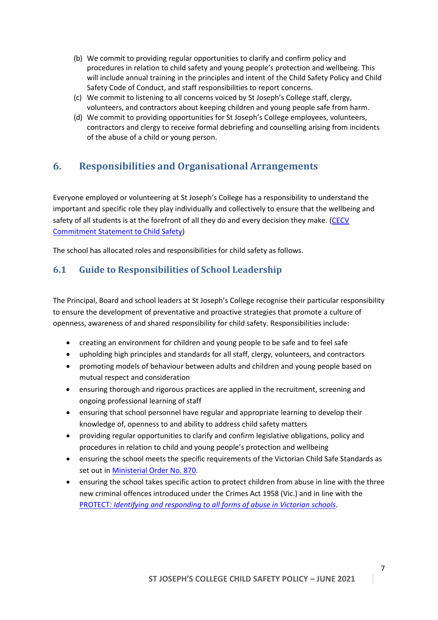- (b) We commit to providing regular opportunities to clarify and confirm policy and procedures in relation to child safety and young people's protection and wellbeing. This will include annual training in the principles and intent of the Child Safety Policy and Child Safety Code of Conduct, and staff responsibilities to report concerns.
- (c) We commit to listening to all concerns voiced by St Joseph's College staff, clergy, volunteers, and contractors about keeping children and young people safe from harm.
- (d) We commit to providing opportunities for St Joseph's College employees, volunteers, contractors and clergy to receive formal debriefing and counselling arising from incidents of the abuse of a child or young person.

# <span id="page-6-0"></span>**6. Responsibilities and Organisational Arrangements**

Everyone employed or volunteering at St Joseph's College has a responsibility to understand the important and specific role they play individually and collectively to ensure that the wellbeing and safety of all students is at the forefront of all they do and every decision they make. (CECV [Commitment Statement to Child Safety\)](http://cevn.cecv.catholic.edu.au/WorkArea/DownloadAsset.aspx?id=8589940582)

The school has allocated roles and responsibilities for child safety as follows.

## <span id="page-6-1"></span>**6.1 Guide to Responsibilities of School Leadership**

The Principal, Board and school leaders at St Joseph's College recognise their particular responsibility to ensure the development of preventative and proactive strategies that promote a culture of openness, awareness of and shared responsibility for child safety. Responsibilities include:

- creating an environment for children and young people to be safe and to feel safe
- upholding high principles and standards for all staff, clergy, volunteers, and contractors
- promoting models of behaviour between adults and children and young people based on mutual respect and consideration
- ensuring thorough and rigorous practices are applied in the recruitment, screening and ongoing professional learning of staff
- ensuring that school personnel have regular and appropriate learning to develop their knowledge of, openness to and ability to address child safety matters
- providing regular opportunities to clarify and confirm legislative obligations, policy and procedures in relation to child and young people's protection and wellbeing
- ensuring the school meets the specific requirements of the Victorian Child Safe Standards as set out i[n Ministerial Order No. 870.](http://www.gazette.vic.gov.au/gazette/Gazettes2016/GG2016S002.pdf)
- ensuring the school takes specific action to protect children from abuse in line with the three new criminal offences introduced under the Crimes Act 1958 (Vic.) and in line with the PROTECT*[: Identifying and responding to all forms of abuse in Victorian schools](http://www.cecv.catholic.edu.au/getmedia/ebe135a4-d1b3-48a0-81fe-50d4fc451bcd/Identifying-and-Responding-to-All-Forms-of-Abuse.aspx)*.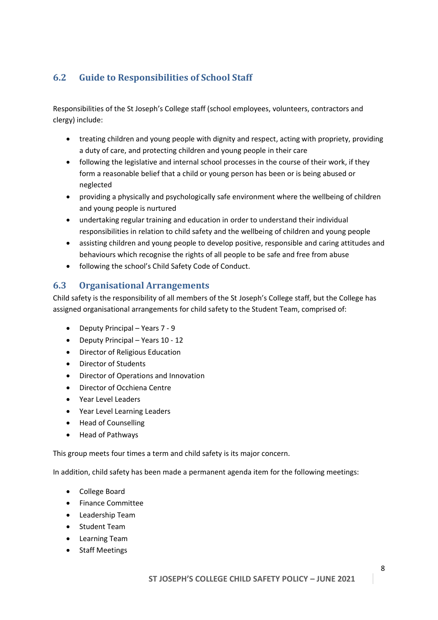# <span id="page-7-0"></span>**6.2 Guide to Responsibilities of School Staff**

Responsibilities of the St Joseph's College staff (school employees, volunteers, contractors and clergy) include:

- treating children and young people with dignity and respect, acting with propriety, providing a duty of care, and protecting children and young people in their care
- following the legislative and internal school processes in the course of their work, if they form a reasonable belief that a child or young person has been or is being abused or neglected
- providing a physically and psychologically safe environment where the wellbeing of children and young people is nurtured
- undertaking regular training and education in order to understand their individual responsibilities in relation to child safety and the wellbeing of children and young people
- assisting children and young people to develop positive, responsible and caring attitudes and behaviours which recognise the rights of all people to be safe and free from abuse
- following the school's Child Safety Code of Conduct.

#### <span id="page-7-1"></span>**6.3 Organisational Arrangements**

Child safety is the responsibility of all members of the St Joseph's College staff, but the College has assigned organisational arrangements for child safety to the Student Team, comprised of:

- Deputy Principal Years 7 9
- Deputy Principal Years 10 12
- Director of Religious Education
- Director of Students
- Director of Operations and Innovation
- Director of Occhiena Centre
- Year Level Leaders
- Year Level Learning Leaders
- Head of Counselling
- Head of Pathways

This group meets four times a term and child safety is its major concern.

In addition, child safety has been made a permanent agenda item for the following meetings:

- College Board
- Finance Committee
- Leadership Team
- Student Team
- Learning Team
- Staff Meetings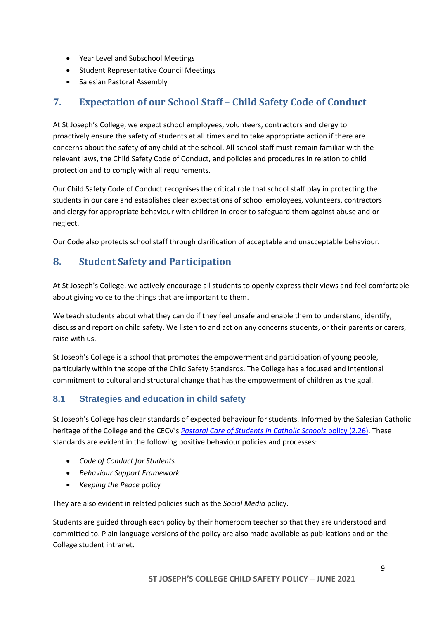- Year Level and Subschool Meetings
- Student Representative Council Meetings
- Salesian Pastoral Assembly

## <span id="page-8-0"></span>**7. Expectation of our School Staff – Child Safety Code of Conduct**

At St Joseph's College, we expect school employees, volunteers, contractors and clergy to proactively ensure the safety of students at all times and to take appropriate action if there are concerns about the safety of any child at the school. All school staff must remain familiar with the relevant laws, the Child Safety Code of Conduct, and policies and procedures in relation to child protection and to comply with all requirements.

Our Child Safety Code of Conduct recognises the critical role that school staff play in protecting the students in our care and establishes clear expectations of school employees, volunteers, contractors and clergy for appropriate behaviour with children in order to safeguard them against abuse and or neglect.

Our Code also protects school staff through clarification of acceptable and unacceptable behaviour.

## <span id="page-8-1"></span>**8. Student Safety and Participation**

At St Joseph's College, we actively encourage all students to openly express their views and feel comfortable about giving voice to the things that are important to them.

We teach students about what they can do if they feel unsafe and enable them to understand, identify, discuss and report on child safety. We listen to and act on any concerns students, or their parents or carers, raise with us.

St Joseph's College is a school that promotes the empowerment and participation of young people, particularly within the scope of the Child Safety Standards. The College has a focused and intentional commitment to cultural and structural change that has the empowerment of children as the goal.

#### **8.1 Strategies and education in child safety**

St Joseph's College has clear standards of expected behaviour for students. Informed by the Salesian Catholic heritage of the College and the CECV's *[Pastoral Care of Students in Catholic Schools](http://www.cem.edu.au/publications-policies/policy/policy-2.26-pastoral-care-of-students-in-catholic-schools/)* policy (2.26). These standards are evident in the following positive behaviour policies and processes:

- *Code of Conduct for Students*
- *Behaviour Support Framework*
- *Keeping the Peace* policy

They are also evident in related policies such as the *Social Media* policy.

Students are guided through each policy by their homeroom teacher so that they are understood and committed to. Plain language versions of the policy are also made available as publications and on the College student intranet.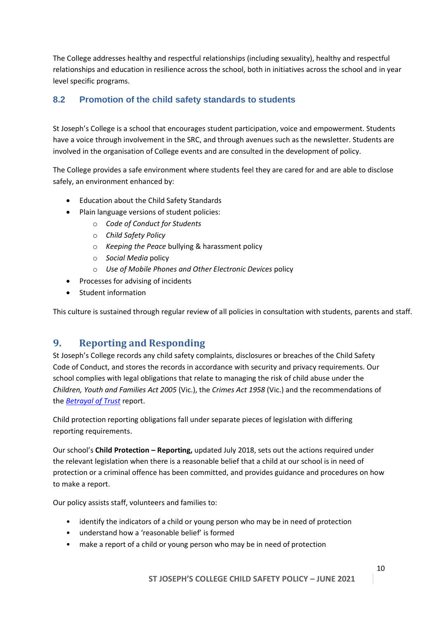The College addresses healthy and respectful relationships (including sexuality), healthy and respectful relationships and education in resilience across the school, both in initiatives across the school and in year level specific programs.

#### **8.2 Promotion of the child safety standards to students**

St Joseph's College is a school that encourages student participation, voice and empowerment. Students have a voice through involvement in the SRC, and through avenues such as the newsletter. Students are involved in the organisation of College events and are consulted in the development of policy.

The College provides a safe environment where students feel they are cared for and are able to disclose safely, an environment enhanced by:

- Education about the Child Safety Standards
- Plain language versions of student policies:
	- o *Code of Conduct for Students*
	- o *Child Safety Policy*
	- o *Keeping the Peace* bullying & harassment policy
	- o *Social Media* policy
	- o *Use of Mobile Phones and Other Electronic Devices* policy
- Processes for advising of incidents
- Student information

This culture is sustained through regular review of all policies in consultation with students, parents and staff.

# <span id="page-9-0"></span>**9. Reporting and Responding**

St Joseph's College records any child safety complaints, disclosures or breaches of the Child Safety Code of Conduct, and stores the records in accordance with security and privacy requirements. Our school complies with legal obligations that relate to managing the risk of child abuse under the *Children, Youth and Families Act 2005* (Vic.), the *Crimes Act 1958* (Vic.) and the recommendations of the *[Betrayal of Trust](http://www.parliament.vic.gov.au/fcdc/article/1788)* report.

Child protection reporting obligations fall under separate pieces of legislation with differing reporting requirements.

Our school's **Child Protection – Reporting,** updated July 2018, sets out the actions required under the relevant legislation when there is a reasonable belief that a child at our school is in need of protection or a criminal offence has been committed, and provides guidance and procedures on how to make a report.

Our policy assists staff, volunteers and families to:

- identify the indicators of a child or young person who may be in need of protection
- understand how a 'reasonable belief' is formed
- make a report of a child or young person who may be in need of protection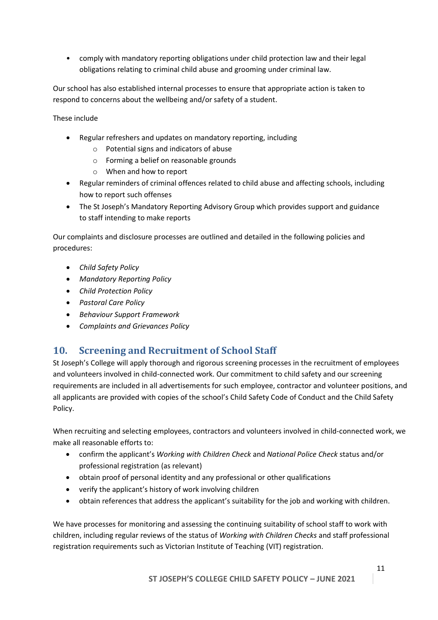• comply with mandatory reporting obligations under child protection law and their legal obligations relating to criminal child abuse and grooming under criminal law.

Our school has also established internal processes to ensure that appropriate action is taken to respond to concerns about the wellbeing and/or safety of a student.

These include

- Regular refreshers and updates on mandatory reporting, including
	- o Potential signs and indicators of abuse
	- o Forming a belief on reasonable grounds
	- o When and how to report
- Regular reminders of criminal offences related to child abuse and affecting schools, including how to report such offenses
- The St Joseph's Mandatory Reporting Advisory Group which provides support and guidance to staff intending to make reports

Our complaints and disclosure processes are outlined and detailed in the following policies and procedures:

- *Child Safety Policy*
- *Mandatory Reporting Policy*
- *Child Protection Policy*
- *Pastoral Care Policy*
- *Behaviour Support Framework*
- *Complaints and Grievances Policy*

#### <span id="page-10-0"></span>**10. Screening and Recruitment of School Staff**

St Joseph's College will apply thorough and rigorous screening processes in the recruitment of employees and volunteers involved in child-connected work. Our commitment to child safety and our screening requirements are included in all advertisements for such employee, contractor and volunteer positions, and all applicants are provided with copies of the school's Child Safety Code of Conduct and the Child Safety Policy.

When recruiting and selecting employees, contractors and volunteers involved in child-connected work, we make all reasonable efforts to:

- confirm the applicant's *Working with Children Check* and *National Police Check* status and/or professional registration (as relevant)
- obtain proof of personal identity and any professional or other qualifications
- verify the applicant's history of work involving children
- obtain references that address the applicant's suitability for the job and working with children.

We have processes for monitoring and assessing the continuing suitability of school staff to work with children, including regular reviews of the status of *Working with Children Checks* and staff professional registration requirements such as Victorian Institute of Teaching (VIT) registration.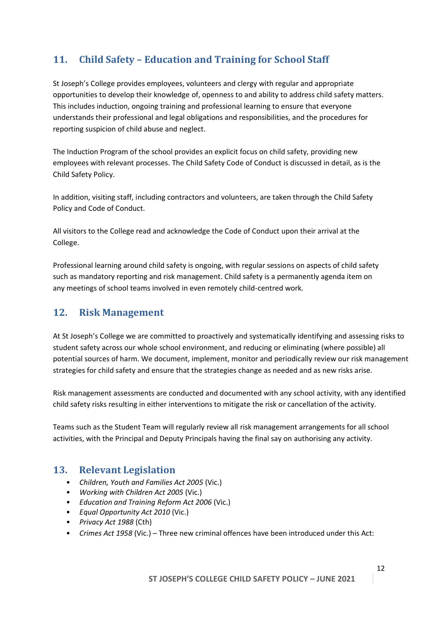# <span id="page-11-0"></span>**11. Child Safety – Education and Training for School Staff**

St Joseph's College provides employees, volunteers and clergy with regular and appropriate opportunities to develop their knowledge of, openness to and ability to address child safety matters. This includes induction, ongoing training and professional learning to ensure that everyone understands their professional and legal obligations and responsibilities, and the procedures for reporting suspicion of child abuse and neglect.

The Induction Program of the school provides an explicit focus on child safety, providing new employees with relevant processes. The Child Safety Code of Conduct is discussed in detail, as is the Child Safety Policy.

In addition, visiting staff, including contractors and volunteers, are taken through the Child Safety Policy and Code of Conduct.

All visitors to the College read and acknowledge the Code of Conduct upon their arrival at the College.

Professional learning around child safety is ongoing, with regular sessions on aspects of child safety such as mandatory reporting and risk management. Child safety is a permanently agenda item on any meetings of school teams involved in even remotely child-centred work.

#### <span id="page-11-1"></span>**12. Risk Management**

At St Joseph's College we are committed to proactively and systematically identifying and assessing risks to student safety across our whole school environment, and reducing or eliminating (where possible) all potential sources of harm. We document, implement, monitor and periodically review our risk management strategies for child safety and ensure that the strategies change as needed and as new risks arise.

Risk management assessments are conducted and documented with any school activity, with any identified child safety risks resulting in either interventions to mitigate the risk or cancellation of the activity.

Teams such as the Student Team will regularly review all risk management arrangements for all school activities, with the Principal and Deputy Principals having the final say on authorising any activity.

#### <span id="page-11-2"></span>**13. Relevant Legislation**

- *Children, Youth and Families Act 2005* (Vic.)
- *Working with Children Act 2005* (Vic.)
- *Education and Training Reform Act 2006* (Vic.)
- *Equal Opportunity Act 2010* (Vic.)
- *Privacy Act 1988* (Cth)
- *Crimes Act 1958* (Vic.) Three new criminal offences have been introduced under this Act: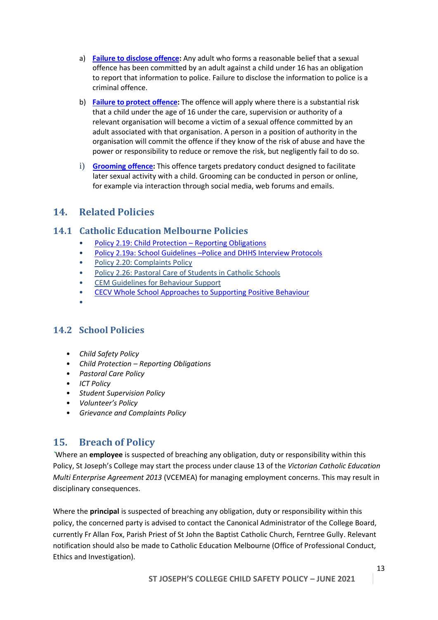- a) **Failure to [disclose offence:](http://www.justice.vic.gov.au/home/safer%2Bcommunities/protecting%2Bchildren%2Band%2Bfamilies/failure%2Bto%2Bdisclose%2Boffence)** Any adult who forms a reasonable belief that a sexual offence has been committed by an adult against a child under 16 has an obligation to report that information to police. Failure to disclose the information to police is a criminal offence.
- b) **[Failure to](http://www.cecv.catholic.edu.au/http:/www.justice.vic.gov.au/home/safer%2Bcommunities/protecting%2Bchildren%2Band%2Bfamilies/failure%2Bto%2Bprotect%2Boffence) protect offence:** The offence will apply where there is a substantial risk that a child under the age of 16 under the care, supervision or authority of a relevant organisation will become a victim of a sexual offence committed by an adult associated with that organisation. A person in a position of authority in the organisation will commit the offence if they know of the risk of abuse and have the power or responsibility to reduce or remove the risk, but negligently fail to do so.
- i) **[Grooming](http://www.justice.vic.gov.au/home/safer%2Bcommunities/protecting%2Bchildren%2Band%2Bfamilies/grooming%2Boffence) offence:** This offence targets predatory conduct designed to facilitate later sexual activity with a child. Grooming can be conducted in person or online, for example via interaction through social media, web forums and emails.

#### <span id="page-12-0"></span>**14. Related Policies**

#### <span id="page-12-1"></span>**14.1 Catholic Education Melbourne Policies**

- Policy 2.19: Child Protection [Reporting Obligations](http://www.cem.edu.au/publications-policies/policy/policy-2.19-child-protection-repoting-obligations/)
- Policy 2.19a: School Guidelines –[Police and DHHS Interview Protocols](http://www.cem.edu.au/publications-policies/policy/policy-2.19a-police-and-dhhs-interview-protocols/)
- [Policy 2.20: Complaints](http://www.cem.edu.au/publications-policies/policy/Policy-2.20-Complaints/) Policy
- Policy [2.26: Pastoral Care of Students](http://www.cem.edu.au/publications-policies/policy/policy-2.26-pastoral-care-of-students-in-catholic-schools/) in Catholic Schools
- CEM [Guidelines for Behaviour Support](http://www.cem.edu.au/WorkArea/linkit.aspx?LinkIdentifier=id&ItemID=22306&libID=22328)
- [CECV Whole School Approaches to Supporting Positive Behaviour](http://www.cecv.catholic.edu.au/getmedia/9a82dbf1-965d-41c7-922c-ea5dd86cc52a/Positive-Student-Behaviour.aspx?ext=.pdf)
- •

#### <span id="page-12-2"></span>**14.2 School Policies**

- *Child Safety Policy*
- *Child Protection – Reporting Obligations*
- *Pastoral Care Policy*
- *ICT Policy*
- *Student Supervision Policy*
- *Volunteer's Policy*
- *Grievance and Complaints Policy*

#### <span id="page-12-3"></span>**15. Breach of Policy**

*`*Where an **employee** is suspected of breaching any obligation, duty or responsibility within this Policy, St Joseph's College may start the process under clause 13 of the *Victorian Catholic Education Multi Enterprise Agreement 2013* (VCEMEA) for managing employment concerns. This may result in disciplinary consequences.

Where the **principal** is suspected of breaching any obligation, duty or responsibility within this policy, the concerned party is advised to contact the Canonical Administrator of the College Board, currently Fr Allan Fox, Parish Priest of St John the Baptist Catholic Church, Ferntree Gully. Relevant notification should also be made to Catholic Education Melbourne (Office of Professional Conduct, Ethics and Investigation).